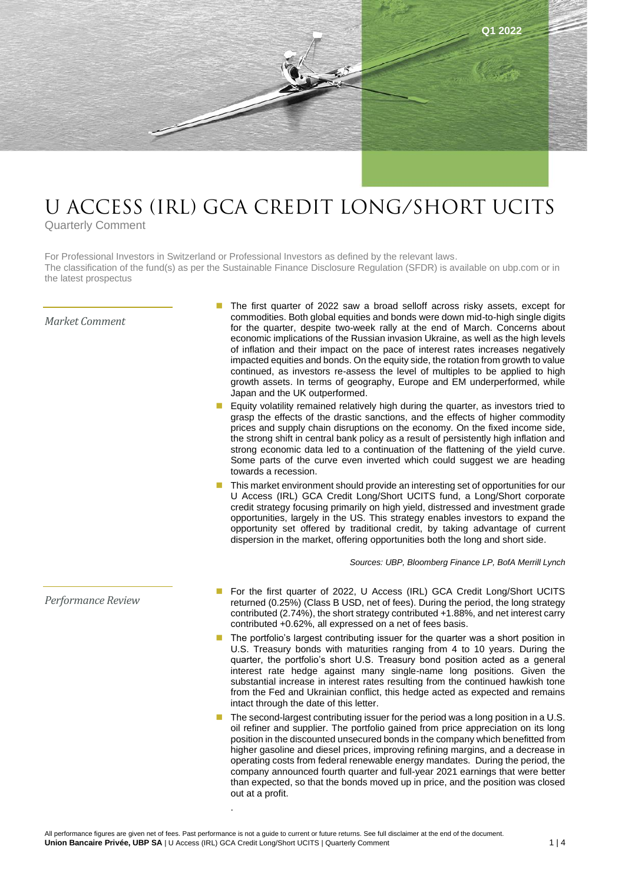

## U ACCESS (IRL) GCA CREDIT LONG/SHORT UCITS

Quarterly Comment

For Professional Investors in Switzerland or Professional Investors as defined by the relevant laws. The classification of the fund(s) as per the Sustainable Finance Disclosure Regulation (SFDR) is available on ubp.com or in the latest prospectus

## *Market Comment*

The first quarter of 2022 saw a broad selloff across risky assets, except for commodities. Both global equities and bonds were down mid-to-high single digits for the quarter, despite two-week rally at the end of March. Concerns about economic implications of the Russian invasion Ukraine, as well as the high levels of inflation and their impact on the pace of interest rates increases negatively impacted equities and bonds. On the equity side, the rotation from growth to value continued, as investors re-assess the level of multiples to be applied to high growth assets. In terms of geography, Europe and EM underperformed, while Japan and the UK outperformed.

- Equity volatility remained relatively high during the quarter, as investors tried to grasp the effects of the drastic sanctions, and the effects of higher commodity prices and supply chain disruptions on the economy. On the fixed income side, the strong shift in central bank policy as a result of persistently high inflation and strong economic data led to a continuation of the flattening of the yield curve. Some parts of the curve even inverted which could suggest we are heading towards a recession.
- This market environment should provide an interesting set of opportunities for our U Access (IRL) GCA Credit Long/Short UCITS fund, a Long/Short corporate credit strategy focusing primarily on high yield, distressed and investment grade opportunities, largely in the US. This strategy enables investors to expand the opportunity set offered by traditional credit, by taking advantage of current dispersion in the market, offering opportunities both the long and short side.

*Sources: UBP, Bloomberg Finance LP, BofA Merrill Lynch*

- *Performance Review*
- For the first quarter of 2022, U Access (IRL) GCA Credit Long/Short UCITS returned (0.25%) (Class B USD, net of fees). During the period, the long strategy contributed (2.74%), the short strategy contributed +1.88%, and net interest carry contributed +0.62%, all expressed on a net of fees basis.
- The portfolio's largest contributing issuer for the quarter was a short position in U.S. Treasury bonds with maturities ranging from 4 to 10 years. During the quarter, the portfolio's short U.S. Treasury bond position acted as a general interest rate hedge against many single-name long positions. Given the substantial increase in interest rates resulting from the continued hawkish tone from the Fed and Ukrainian conflict, this hedge acted as expected and remains intact through the date of this letter.
- The second-largest contributing issuer for the period was a long position in a U.S. oil refiner and supplier. The portfolio gained from price appreciation on its long position in the discounted unsecured bonds in the company which benefitted from higher gasoline and diesel prices, improving refining margins, and a decrease in operating costs from federal renewable energy mandates. During the period, the company announced fourth quarter and full-year 2021 earnings that were better than expected, so that the bonds moved up in price, and the position was closed out at a profit.

.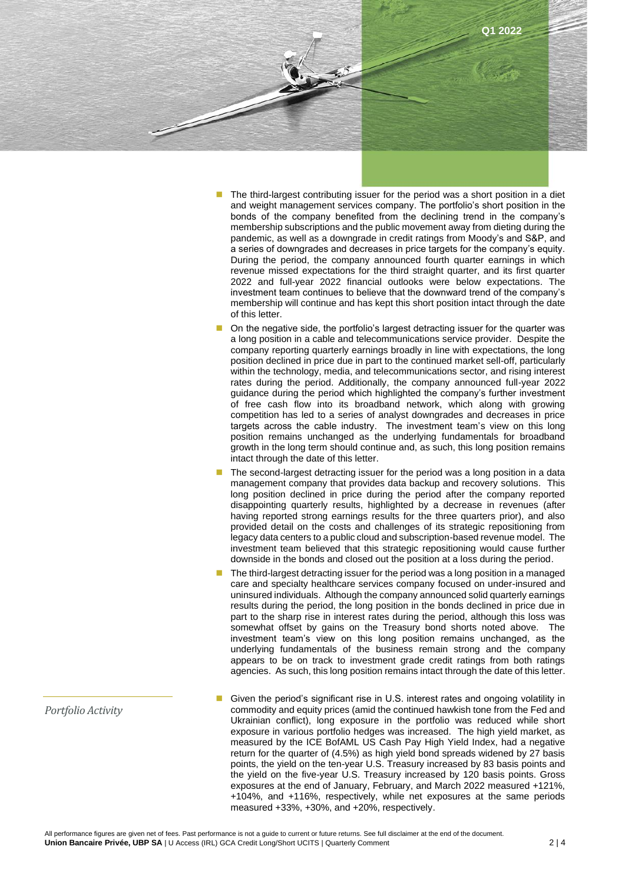

- The third-largest contributing issuer for the period was a short position in a diet and weight management services company. The portfolio's short position in the bonds of the company benefited from the declining trend in the company's membership subscriptions and the public movement away from dieting during the pandemic, as well as a downgrade in credit ratings from Moody's and S&P, and a series of downgrades and decreases in price targets for the company's equity. During the period, the company announced fourth quarter earnings in which revenue missed expectations for the third straight quarter, and its first quarter 2022 and full-year 2022 financial outlooks were below expectations. The investment team continues to believe that the downward trend of the company's membership will continue and has kept this short position intact through the date of this letter.
- On the negative side, the portfolio's largest detracting issuer for the quarter was a long position in a cable and telecommunications service provider. Despite the company reporting quarterly earnings broadly in line with expectations, the long position declined in price due in part to the continued market sell-off, particularly within the technology, media, and telecommunications sector, and rising interest rates during the period. Additionally, the company announced full-year 2022 guidance during the period which highlighted the company's further investment of free cash flow into its broadband network, which along with growing competition has led to a series of analyst downgrades and decreases in price targets across the cable industry. The investment team's view on this long position remains unchanged as the underlying fundamentals for broadband growth in the long term should continue and, as such, this long position remains intact through the date of this letter.
- The second-largest detracting issuer for the period was a long position in a data management company that provides data backup and recovery solutions. This long position declined in price during the period after the company reported disappointing quarterly results, highlighted by a decrease in revenues (after having reported strong earnings results for the three quarters prior), and also provided detail on the costs and challenges of its strategic repositioning from legacy data centers to a public cloud and subscription-based revenue model. The investment team believed that this strategic repositioning would cause further downside in the bonds and closed out the position at a loss during the period.
- The third-largest detracting issuer for the period was a long position in a managed care and specialty healthcare services company focused on under-insured and uninsured individuals. Although the company announced solid quarterly earnings results during the period, the long position in the bonds declined in price due in part to the sharp rise in interest rates during the period, although this loss was somewhat offset by gains on the Treasury bond shorts noted above. The investment team's view on this long position remains unchanged, as the underlying fundamentals of the business remain strong and the company appears to be on track to investment grade credit ratings from both ratings agencies. As such, this long position remains intact through the date of this letter.
- Given the period's significant rise in U.S. interest rates and ongoing volatility in commodity and equity prices (amid the continued hawkish tone from the Fed and Ukrainian conflict), long exposure in the portfolio was reduced while short exposure in various portfolio hedges was increased. The high yield market, as measured by the ICE BofAML US Cash Pay High Yield Index, had a negative return for the quarter of (4.5%) as high yield bond spreads widened by 27 basis points, the yield on the ten-year U.S. Treasury increased by 83 basis points and the yield on the five-year U.S. Treasury increased by 120 basis points. Gross exposures at the end of January, February, and March 2022 measured +121%, +104%, and +116%, respectively, while net exposures at the same periods measured +33%, +30%, and +20%, respectively.

## *Portfolio Activity*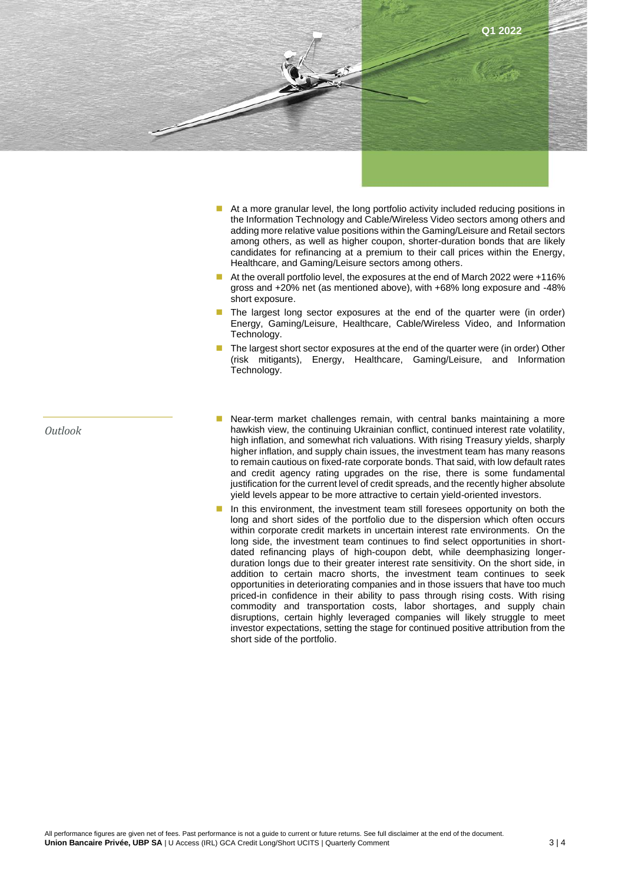

- At a more granular level, the long portfolio activity included reducing positions in the Information Technology and Cable/Wireless Video sectors among others and adding more relative value positions within the Gaming/Leisure and Retail sectors among others, as well as higher coupon, shorter-duration bonds that are likely candidates for refinancing at a premium to their call prices within the Energy, Healthcare, and Gaming/Leisure sectors among others.
- At the overall portfolio level, the exposures at the end of March 2022 were +116% gross and +20% net (as mentioned above), with +68% long exposure and -48% short exposure.
- The largest long sector exposures at the end of the quarter were (in order) Energy, Gaming/Leisure, Healthcare, Cable/Wireless Video, and Information Technology.
- The largest short sector exposures at the end of the quarter were (in order) Other (risk mitigants), Energy, Healthcare, Gaming/Leisure, and Information Technology.

*Outlook*

- Near-term market challenges remain, with central banks maintaining a more hawkish view, the continuing Ukrainian conflict, continued interest rate volatility, high inflation, and somewhat rich valuations. With rising Treasury yields, sharply higher inflation, and supply chain issues, the investment team has many reasons to remain cautious on fixed-rate corporate bonds. That said, with low default rates and credit agency rating upgrades on the rise, there is some fundamental justification for the current level of credit spreads, and the recently higher absolute yield levels appear to be more attractive to certain yield-oriented investors.
- In this environment, the investment team still foresees opportunity on both the long and short sides of the portfolio due to the dispersion which often occurs within corporate credit markets in uncertain interest rate environments. On the long side, the investment team continues to find select opportunities in shortdated refinancing plays of high-coupon debt, while deemphasizing longerduration longs due to their greater interest rate sensitivity. On the short side, in addition to certain macro shorts, the investment team continues to seek opportunities in deteriorating companies and in those issuers that have too much priced-in confidence in their ability to pass through rising costs. With rising commodity and transportation costs, labor shortages, and supply chain disruptions, certain highly leveraged companies will likely struggle to meet investor expectations, setting the stage for continued positive attribution from the short side of the portfolio.